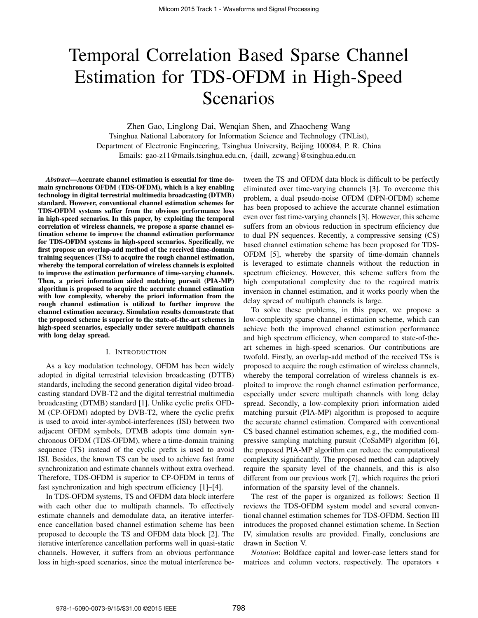# Temporal Correlation Based Sparse Channel Estimation for TDS-OFDM in High-Speed Scenarios

Zhen Gao, Linglong Dai, Wenqian Shen, and Zhaocheng Wang Tsinghua National Laboratory for Information Science and Technology (TNList), Department of Electronic Engineering, Tsinghua University, Beijing 100084, P. R. China Emails: gao-z11@mails.tsinghua.edu.cn, *{*daill, zcwang*}*@tsinghua.edu.cn

*Abstract*—Accurate channel estimation is essential for time domain synchronous OFDM (TDS-OFDM), which is a key enabling technology in digital terrestrial multimedia broadcasting (DTMB) standard. However, conventional channel estimation schemes for TDS-OFDM systems suffer from the obvious performance loss in high-speed scenarios. In this paper, by exploiting the temporal correlation of wireless channels, we propose a sparse channel estimation scheme to improve the channel estimation performance for TDS-OFDM systems in high-speed scenarios. Specifically, we first propose an overlap-add method of the received time-domain training sequences (TSs) to acquire the rough channel estimation, whereby the temporal correlation of wireless channels is exploited to improve the estimation performance of time-varying channels. Then, a priori information aided matching pursuit (PIA-MP) algorithm is proposed to acquire the accurate channel estimation with low complexity, whereby the priori information from the rough channel estimation is utilized to further improve the channel estimation accuracy. Simulation results demonstrate that the proposed scheme is superior to the state-of-the-art schemes in high-speed scenarios, especially under severe multipath channels with long delay spread.

## I. INTRODUCTION

As a key modulation technology, OFDM has been widely adopted in digital terrestrial television broadcasting (DTTB) standards, including the second generation digital video broadcasting standard DVB-T2 and the digital terrestrial multimedia broadcasting (DTMB) standard [1]. Unlike cyclic prefix OFD-M (CP-OFDM) adopted by DVB-T2, where the cyclic prefix is used to avoid inter-symbol-interferences (ISI) between two adjacent OFDM symbols, DTMB adopts time domain synchronous OFDM (TDS-OFDM), where a time-domain training sequence (TS) instead of the cyclic prefix is used to avoid ISI. Besides, the known TS can be used to achieve fast frame synchronization and estimate channels without extra overhead. Therefore, TDS-OFDM is superior to CP-OFDM in terms of fast synchronization and high spectrum efficiency [1]–[4].

In TDS-OFDM systems, TS and OFDM data block interfere with each other due to multipath channels. To effectively estimate channels and demodulate data, an iterative interference cancellation based channel estimation scheme has been proposed to decouple the TS and OFDM data block [2]. The iterative interference cancellation performs well in quasi-static channels. However, it suffers from an obvious performance loss in high-speed scenarios, since the mutual interference between the TS and OFDM data block is difficult to be perfectly eliminated over time-varying channels [3]. To overcome this problem, a dual pseudo-noise OFDM (DPN-OFDM) scheme has been proposed to achieve the accurate channel estimation even over fast time-varying channels [3]. However, this scheme suffers from an obvious reduction in spectrum efficiency due to dual PN sequences. Recently, a compressive sensing (CS) based channel estimation scheme has been proposed for TDS-OFDM [5], whereby the sparsity of time-domain channels is leveraged to estimate channels without the reduction in spectrum efficiency. However, this scheme suffers from the high computational complexity due to the required matrix inversion in channel estimation, and it works poorly when the delay spread of multipath channels is large.

To solve these problems, in this paper, we propose a low-complexity sparse channel estimation scheme, which can achieve both the improved channel estimation performance and high spectrum efficiency, when compared to state-of-theart schemes in high-speed scenarios. Our contributions are twofold. Firstly, an overlap-add method of the received TSs is proposed to acquire the rough estimation of wireless channels, whereby the temporal correlation of wireless channels is exploited to improve the rough channel estimation performance, especially under severe multipath channels with long delay spread. Secondly, a low-complexity priori information aided matching pursuit (PIA-MP) algorithm is proposed to acquire the accurate channel estimation. Compared with conventional CS based channel estimation schemes, e.g., the modified compressive sampling matching pursuit (CoSaMP) algorithm [6], the proposed PIA-MP algorithm can reduce the computational complexity significantly. The proposed method can adaptively require the sparsity level of the channels, and this is also different from our previous work [7], which requires the priori information of the sparsity level of the channels.

The rest of the paper is organized as follows: Section II reviews the TDS-OFDM system model and several conventional channel estimation schemes for TDS-OFDM. Section III introduces the proposed channel estimation scheme. In Section IV, simulation results are provided. Finally, conclusions are drawn in Section V.

*Notation*: Boldface capital and lower-case letters stand for matrices and column vectors, respectively. The operators *∗*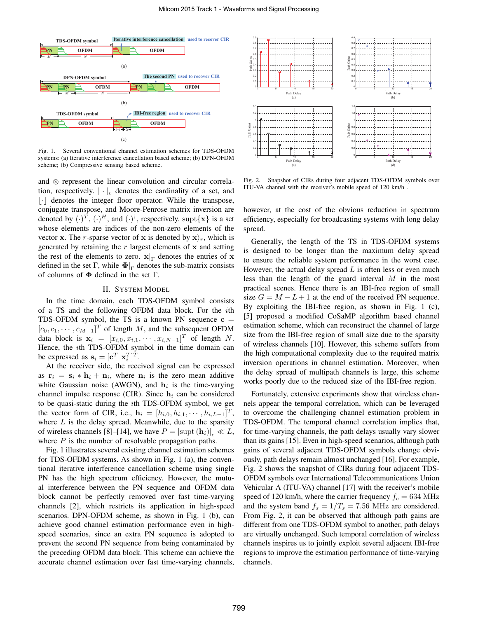

Fig. 1. Several conventional channel estimation schemes for TDS-OFDM systems: (a) Iterative interference cancellation based scheme; (b) DPN-OFDM scheme; (b) Compressive sensing based scheme.

and *⊗* represent the linear convolution and circular correlation, respectively.  $|\cdot|_c$  denotes the cardinality of a set, and *⌊·⌋* denotes the integer floor operator. While the transpose, conjugate transpose, and Moore-Penrose matrix inversion are denoted by  $(\cdot)^{T}$ ,  $(\cdot)^{H}$ , and  $(\cdot)^{\dagger}$ , respectively. supt $\{x\}$  is a set whose elements are indices of the non-zero elements of the vector **x**. The *r*-sparse vector of **x** is denoted by  $\mathbf{x}\rangle_r$ , which is generated by retaining the *r* largest elements of **x** and setting the rest of the elements to zero. **x***|*<sup>Γ</sup> denotes the entries of **x** defined in the set  $\Gamma$ , while  $\Phi|_{\Gamma}$  denotes the sub-matrix consists of columns of **Φ** defined in the set Γ.

#### II. SYSTEM MODEL

In the time domain, each TDS-OFDM symbol consists of a TS and the following OFDM data block. For the *i*th TDS-OFDM symbol, the TS is a known PN sequence  $c =$  $[c_0, c_1, \cdots, c_{M-1}]^T$  of length *M*, and the subsequent OFDM data block is  $\mathbf{x}_i = [x_{i,0}, x_{i,1}, \cdots, x_{i,N-1}]^T$  of length *N*. Hence, the *i*th TDS-OFDM symbol in the time domain can be expressed as  $\mathbf{s}_i = [\mathbf{c}^T \ \mathbf{x}_i^T]^T$ .

At the receiver side, the received signal can be expressed as  $\mathbf{r}_i = \mathbf{s}_i \cdot \mathbf{h}_i + \mathbf{n}_i$ , where  $\mathbf{n}_i$  is the zero mean additive white Gaussian noise (AWGN), and  $h_i$  is the time-varying channel impulse response (CIR). Since  $h_i$  can be considered to be quasi-static during the *i*th TDS-OFDM symbol, we get the vector form of CIR, i.e.,  $\mathbf{h}_i = [h_{i,0}, h_{i,1}, \cdots, h_{i,L-1}]^T$ , where *L* is the delay spread. Meanwhile, due to the sparsity of wireless channels [8]–[14], we have  $P = |\text{supt } (\mathbf{h}_i)|_c \ll L$ , where *P* is the number of resolvable propagation paths.

Fig. 1 illustrates several existing channel estimation schemes for TDS-OFDM systems. As shown in Fig. 1 (a), the conventional iterative interference cancellation scheme using single PN has the high spectrum efficiency. However, the mutual interference between the PN sequence and OFDM data block cannot be perfectly removed over fast time-varying channels [2], which restricts its application in high-speed scenarios. DPN-OFDM scheme, as shown in Fig. 1 (b), can achieve good channel estimation performance even in highspeed scenarios, since an extra PN sequence is adopted to prevent the second PN sequence from being contaminated by the preceding OFDM data block. This scheme can achieve the accurate channel estimation over fast time-varying channels,



Fig. 2. Snapshot of CIRs during four adjacent TDS-OFDM symbols over ITU-VA channel with the receiver's mobile speed of 120 km/h .

however, at the cost of the obvious reduction in spectrum efficiency, especially for broadcasting systems with long delay spread.

Generally, the length of the TS in TDS-OFDM systems is designed to be longer than the maximum delay spread to ensure the reliable system performance in the worst case. However, the actual delay spread *L* is often less or even much less than the length of the guard interval *M* in the most practical scenes. Hence there is an IBI-free region of small size  $G = M - L + 1$  at the end of the received PN sequence. By exploiting the IBI-free region, as shown in Fig. 1 (c), [5] proposed a modified CoSaMP algorithm based channel estimation scheme, which can reconstruct the channel of large size from the IBI-free region of small size due to the sparsity of wireless channels [10]. However, this scheme suffers from the high computational complexity due to the required matrix inversion operations in channel estimation. Moreover, when the delay spread of multipath channels is large, this scheme works poorly due to the reduced size of the IBI-free region.

Fortunately, extensive experiments show that wireless channels appear the temporal correlation, which can be leveraged to overcome the challenging channel estimation problem in TDS-OFDM. The temporal channel correlation implies that, for time-varying channels, the path delays usually vary slower than its gains [15]. Even in high-speed scenarios, although path gains of several adjacent TDS-OFDM symbols change obviously, path delays remain almost unchanged [16]. For example, Fig. 2 shows the snapshot of CIRs during four adjacent TDS-OFDM symbols over International Telecommunications Union Vehicular A (ITU-VA) channel [17] with the receiver's mobile speed of 120 km/h, where the carrier frequency  $f_c = 634 \text{ MHz}$ and the system band  $f_s = 1/T_s = 7.56$  MHz are considered. From Fig. 2, it can be observed that although path gains are different from one TDS-OFDM symbol to another, path delays are virtually unchanged. Such temporal correlation of wireless channels inspires us to jointly exploit several adjacent IBI-free regions to improve the estimation performance of time-varying channels.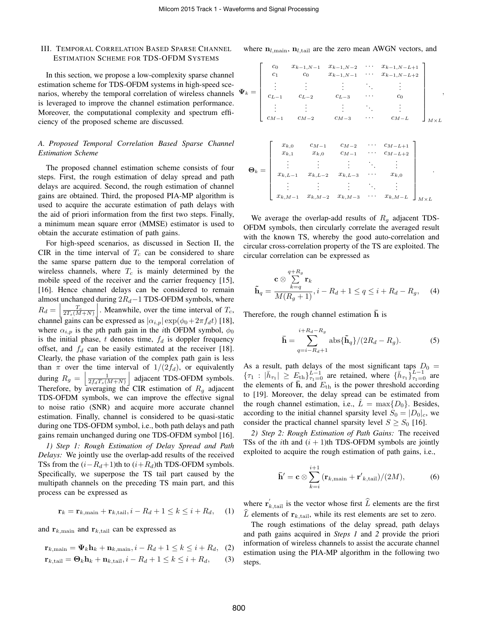# III. TEMPORAL CORRELATION BASED SPARSE CHANNEL ESTIMATION SCHEME FOR TDS-OFDM SYSTEMS

In this section, we propose a low-complexity sparse channel estimation scheme for TDS-OFDM systems in high-speed scenarios, whereby the temporal correlation of wireless channels is leveraged to improve the channel estimation performance. Moreover, the computational complexity and spectrum efficiency of the proposed scheme are discussed.

## *A. Proposed Temporal Correlation Based Sparse Channel Estimation Scheme*

The proposed channel estimation scheme consists of four steps. First, the rough estimation of delay spread and path delays are acquired. Second, the rough estimation of channel gains are obtained. Third, the proposed PIA-MP algorithm is used to acquire the accurate estimation of path delays with the aid of priori information from the first two steps. Finally, a minimum mean square error (MMSE) estimator is used to obtain the accurate estimation of path gains.

For high-speed scenarios, as discussed in Section II, the CIR in the time interval of  $T_c$  can be considered to share the same sparse pattern due to the temporal correlation of wireless channels, where  $T_c$  is mainly determined by the mobile speed of the receiver and the carrier frequency [15], [16]. Hence channel delays can be considered to remain almost unchanged during 2*Rd−*1 TDS-OFDM symbols, where  $R_d = \left| \frac{T_c}{2T_s(M+N)} \right|$ . Meanwhile, over the time interval of  $T_c$ , channel gains can be expressed as  $|\alpha_{i,p}| \exp(\phi_0 + 2\pi f_d t)$  [18], where  $\alpha_{i,p}$  is the *p*th path gain in the *i*th OFDM symbol,  $\phi_0$ is the initial phase,  $t$  denotes time,  $f_d$  is doppler frequency offset, and  $f_d$  can be easily estimated at the receiver [18]. Clearly, the phase variation of the complex path gain is less than  $\pi$  over the time interval of  $1/(2f_d)$ , or equivalently during  $R_g = \left| \frac{1}{2f_dT_s(M+N)} \right|$ | adjacent TDS-OFDM symbols. Therefore, by averaging the CIR estimation of  $R_q$  adjacent TDS-OFDM symbols, we can improve the effective signal to noise ratio (SNR) and acquire more accurate channel estimation. Finally, channel is considered to be quasi-static during one TDS-OFDM symbol, i.e., both path delays and path gains remain unchanged during one TDS-OFDM symbol [16].

*1) Step 1: Rough Estimation of Delay Spread and Path Delays:* We jointly use the overlap-add results of the received TSs from the  $(i-R_d+1)$ th to  $(i+R_d)$ th TDS-OFDM symbols. Specifically, we superpose the TS tail part caused by the multipath channels on the preceding TS main part, and this process can be expressed as

$$
\mathbf{r}_k = \mathbf{r}_{k,\text{main}} + \mathbf{r}_{k,\text{tail}}, i - R_d + 1 \le k \le i + R_d, \quad (1)
$$

and  $\mathbf{r}_{k,\text{main}}$  and  $\mathbf{r}_{k,\text{tail}}$  can be expressed as

$$
\mathbf{r}_{k,\text{main}} = \mathbf{\Psi}_k \mathbf{h}_k + \mathbf{n}_{k,\text{main}}, i - R_d + 1 \le k \le i + R_d, \tag{2}
$$

$$
\mathbf{r}_{k,\text{tail}} = \mathbf{\Theta}_k \mathbf{h}_k + \mathbf{n}_{k,\text{tail}} \cdot i - R_d + 1 \le k \le i + R_d,\tag{3}
$$

where  $n_{l,\text{main}}$ ,  $n_{l,\text{tail}}$  are the zero mean AWGN vectors, and

$$
\Psi_k = \begin{bmatrix}\nc_0 & x_{k-1,N-1} & x_{k-1,N-2} & \cdots & x_{k-1,N-L+1} \\
c_1 & c_0 & x_{k-1,N-1} & \cdots & x_{k-1,N-L+2} \\
\vdots & \vdots & \vdots & \ddots & \vdots \\
c_{L-1} & c_{L-2} & c_{L-3} & \cdots & c_0 \\
\vdots & \vdots & \vdots & \ddots & \vdots \\
c_{M-1} & c_{M-2} & c_{M-3} & \cdots & c_{M-L}\n\end{bmatrix}_{M \times L}
$$

$$
\Theta_k = \left[\begin{array}{cccccc} x_{k,0} & c_{M-1} & c_{M-2} & \cdots & c_{M-L+1} \\ x_{k,1} & x_{k,0} & c_{M-1} & \cdots & c_{M-L+2} \\ \vdots & \vdots & \ddots & \vdots & \vdots \\ x_{k,L-1} & x_{k,L-2} & x_{k,L-3} & \cdots & x_{k,0} \\ \vdots & \vdots & \vdots & \ddots & \vdots \\ x_{k,M-1} & x_{k,M-2} & x_{k,M-3} & \cdots & x_{k,M-L} \end{array}\right]_{M \times L}
$$

We average the overlap-add results of  $R_g$  adjacent TDS-OFDM symbols, then circularly correlate the averaged result with the known TS, whereby the good auto-correlation and circular cross-correlation property of the TS are exploited. The circular correlation can be expressed as

$$
\tilde{\mathbf{h}}_q = \frac{\mathbf{c} \otimes \sum_{k=q}^{q+R_g} \mathbf{r}_k}{M(R_g+1)}, i - R_d + 1 \le q \le i + R_d - R_g, \quad (4)
$$

Therefore, the rough channel estimation  $\overline{\mathbf{h}}$  is

$$
\bar{\mathbf{h}} = \sum_{q=i-R_d+1}^{i+R_d-R_g} \text{abs}\{\tilde{\mathbf{h}}_q\} / (2R_d - R_g). \tag{5}
$$

As a result, path delays of the most significant taps  $D_0 =$  $\{\bar{h}_{\tau_1}\}\n\geq E_{\text{th}}\}_{\tau_1=0}^{L-1}$  are retained, where  $\{\bar{h}_{\tau_1}\}_{\tau_1=0}^{L-1}$  are the elements of  $\bar{h}$ , and  $E_{th}$  is the power threshold according to [19]. Moreover, the delay spread can be estimated from the rough channel estimation, i.e.,  $\hat{L} = \max\{D_0\}$ . Besides, according to the initial channel sparsity level  $S_0 = |D_0|_c$ , we consider the practical channel sparsity level  $S \geq S_0$  [16].

*2) Step 2: Rough Estimation of Path Gains:* The received TSs of the *i*th and  $(i + 1)$ th TDS-OFDM symbols are jointly exploited to acquire the rough estimation of path gains, i.e.,

$$
\bar{\mathbf{h}}' = \mathbf{c} \otimes \sum_{k=i}^{i+1} (\mathbf{r}_{k,\text{main}} + \mathbf{r}'_{k,\text{tail}})/(2M), \tag{6}
$$

where  $\mathbf{r}'_{k,\text{tail}}$  is the vector whose first  $\widehat{L}$  elements are the first  $\overline{L}$  elements of  $\mathbf{r}_{k,\text{tail}}$ , while its rest elements are set to zero.

The rough estimations of the delay spread, path delays and path gains acquired in *Steps 1* and *2* provide the priori information of wireless channels to assist the accurate channel estimation using the PIA-MP algorithm in the following two steps.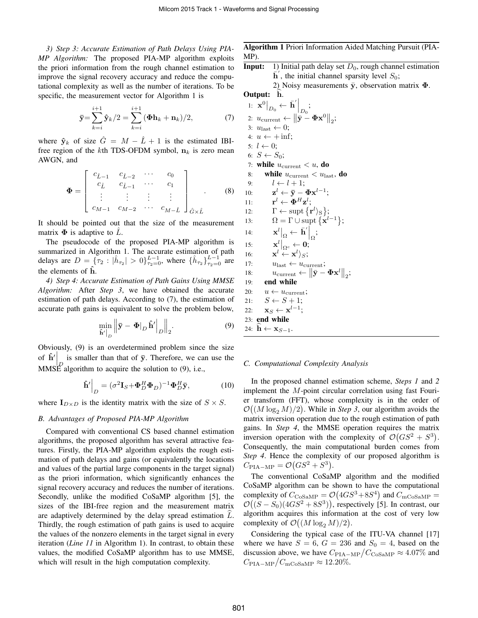*3) Step 3: Accurate Estimation of Path Delays Using PIA-MP Algorithm:* The proposed PIA-MP algorithm exploits the priori information from the rough channel estimation to improve the signal recovery accuracy and reduce the computational complexity as well as the number of iterations. To be specific, the measurement vector for Algorithm 1 is

$$
\bar{\mathbf{y}} = \sum_{k=i}^{i+1} \hat{\mathbf{y}}_k / 2 = \sum_{k=i}^{i+1} (\Phi \mathbf{h}_k + \mathbf{n}_k) / 2, \tag{7}
$$

where  $\hat{\mathbf{y}}_k$  of size  $\hat{G} = M - \hat{L} + 1$  is the estimated IBIfree region of the *k*th TDS-OFDM symbol,  $n_k$  is zero mean AWGN, and

$$
\Phi = \begin{bmatrix} c_{\hat{L}-1} & c_{\hat{L}-2} & \cdots & c_0 \\ c_{\hat{L}} & c_{\hat{L}-1} & \cdots & c_1 \\ \vdots & \vdots & \vdots & \vdots \\ c_{M-1} & c_{M-2} & \cdots & c_{M-\hat{L}} \end{bmatrix}_{\hat{G}\times\hat{L}}.
$$
 (8)

It should be pointed out that the size of the measurement matrix  $\Phi$  is adaptive to  $L$ .

The pseudocode of the proposed PIA-MP algorithm is summarized in Algorithm 1. The accurate estimation of path delays are  $D = \{ \tau_2 : |\hat{h}_{\tau_2}| > 0 \}_{\tau_2=0}^{L-1}$ , where  $\{\hat{h}_{\tau_2}\}_{\tau_2=0}^{L-1}$  are the elements of **hˆ**.

*4) Step 4: Accurate Estimation of Path Gains Using MMSE Algorithm:* After *Step 3*, we have obtained the accurate estimation of path delays. According to (7), the estimation of accurate path gains is equivalent to solve the problem below,

$$
\min_{\hat{\mathbf{h}}'|_D} \left\| \bar{\mathbf{y}} - \mathbf{\Phi}|_D \hat{\mathbf{h}}'\right|_D \Big\|_2.
$$
\n(9)

Obviously, (9) is an overdetermined problem since the size of  $\hat{\mathbf{h}}'$  is smaller than that of  $\bar{\mathbf{y}}$ . Therefore, we can use the MMSE algorithm to acquire the solution to (9), i.e.,

$$
\hat{\mathbf{h}}'\Big|_D = (\sigma^2 \mathbf{I}_S + \mathbf{\Phi}_D^H \mathbf{\Phi}_D)^{-1} \mathbf{\Phi}_D^H \mathbf{\bar{y}},\tag{10}
$$

where  $\mathbf{I}_{D\times D}$  is the identity matrix with the size of  $S \times S$ .

#### *B. Advantages of Proposed PIA-MP Algorithm*

Compared with conventional CS based channel estimation algorithms, the proposed algorithm has several attractive features. Firstly, the PIA-MP algorithm exploits the rough estimation of path delays and gains (or equivalently the locations and values of the partial large components in the target signal) as the priori information, which significantly enhances the signal recovery accuracy and reduces the number of iterations. Secondly, unlike the modified CoSaMP algorithm [5], the sizes of the IBI-free region and the measurement matrix are adaptively determined by the delay spread estimation *L*. Thirdly, the rough estimation of path gains is used to acquire the values of the nonzero elements in the target signal in every iteration (*Line 11* in Algorithm 1). In contrast, to obtain these values, the modified CoSaMP algorithm has to use MMSE, which will result in the high computation complexity.

# Algorithm 1 Priori Information Aided Matching Pursuit (PIA-MP).

**Input:** 1) Initial path delay set  $D_0$ , rough channel estimation  $\overline{\mathbf{h}}'$ , the initial channel sparsity level  $S_0$ ;

2) Noisy measurements  $\bar{y}$ , observation matrix  $\Phi$ .

Output: **h**b. 1:  $\mathbf{x}^0|_{D_0} \leftarrow \bar{\mathbf{h}}'|_{D_0};$ 2:  $u_{\text{current}} \leftarrow ||\bar{\mathbf{y}} - \mathbf{\Phi} \mathbf{x}^0||_2;$ 3:  $u_{\text{last}} \leftarrow 0$ ; 4: *u ←* + inf; 5:  $l \leftarrow 0$ ; 6:  $S \leftarrow S_0$ ; 7: **while**  $u_{\text{current}} < u$ , **do** 8: **while**  $u_{\text{current}} < u_{\text{last}}$ , **do** 9:  $l \leftarrow l + 1$ ; 10: **z**  $l \leftarrow \bar{\mathbf{y}} - \mathbf{\Phi} \mathbf{x}^{l-1};$ 11: **r**  $l \leftarrow \mathbf{\Phi}^H \mathbf{z}^l;$ 12:  $\Gamma \leftarrow \text{supt} \{ \mathbf{r}^l \rangle_S \};$ 13:  $\Omega = \Gamma \cup \text{supt} \left\{ \mathbf{x}^{l-1} \right\};$ 14:  $\mathbf{x}^{l} \big|_{\Omega} \leftarrow \bar{\mathbf{h}}' \big|_{\Omega};$ 15: **x**  $\left.\frac{l}{\Omega} \right|_{\Omega^c} \leftarrow 0;$ 16: **x**  $\langle l \leftarrow \mathbf{x}^l \rangle_S;$ 17:  $u_{\text{last}} \leftarrow u_{\text{current}};$ 18:  $u_{\text{current}} \leftarrow ||\bar{\mathbf{y}} - \mathbf{\Phi} \mathbf{x}^l||_2;$ 19: end while 20:  $u \leftarrow u_{\text{current}};$ 21:  $S \leftarrow S + 1;$ 22:  $\mathbf{x}_S \leftarrow \mathbf{x}^{l-1};$ 23: end while 24:  $\mathbf{h} \leftarrow \mathbf{x}_{S-1}$ .

## *C. Computational Complexity Analysis*

In the proposed channel estimation scheme, *Steps 1* and *2* implement the *M*-point circular correlation using fast Fourier transform (FFT), whose complexity is in the order of  $\mathcal{O}((M \log_2 M)/2)$ . While in *Step 3*, our algorithm avoids the matrix inversion operation due to the rough estimation of path gains. In *Step 4*, the MMSE operation requires the matrix inversion operation with the complexity of  $\mathcal{O}(GS^2 + S^3)$ . Consequently, the main computational burden comes from *Step 4*. Hence the complexity of our proposed algorithm is  $C_{\text{PIA}-\text{MP}} = \mathcal{O}(GS^2 + S^3).$ 

The conventional CoSaMP algorithm and the modified CoSaMP algorithm can be shown to have the computational complexity of  $C_{\text{CoSaMP}} = \mathcal{O}(4GS^3 + 8S^4)$  and  $C_{\text{mCoSaMP}} =$  $\mathcal{O}((S - S_0)(4GS^2 + 8S^3))$ , respectively [5]. In contrast, our algorithm acquires this information at the cost of very low complexity of  $\mathcal{O}((M \log_2 M)/2)$ .

Considering the typical case of the ITU-VA channel [17] where we have  $S = 6$ ,  $G = 236$  and  $S_0 = 4$ , based on the discussion above, we have  $C_{\text{PIA}-\text{MP}}/C_{\text{CoSaMP}} \approx 4.07\%$  and  $C_{\text{PIA}-\text{MP}}/C_{\text{mCoSaMP}} \approx 12.20\%.$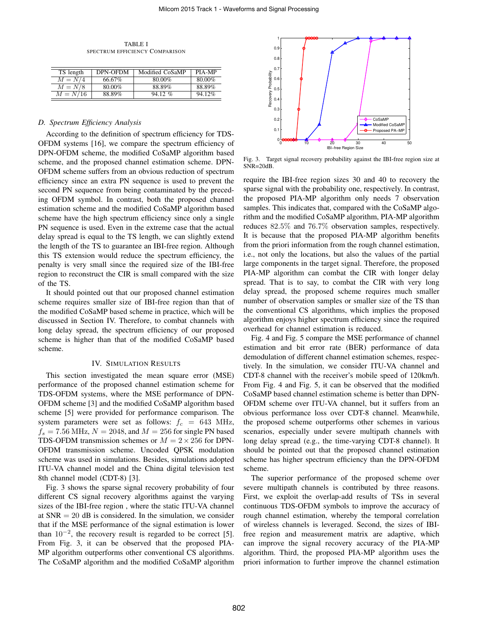TABLE I SPECTRUM EFFICIENCY COMPARISON

| TS length  | DPN-OFDM | Modified CoSaMP | PIA-MP |
|------------|----------|-----------------|--------|
| $M = N/4$  | 66.67%   | 80.00%          | 80.00% |
| $M = N/8$  | 80.00%   | 88.89%          | 88.89% |
| $M = N/16$ | 88.89%   | $94.12\%$       | 94.12% |

## *D. Spectrum Efficiency Analysis*

According to the definition of spectrum efficiency for TDS-OFDM systems [16], we compare the spectrum efficiency of DPN-OFDM scheme, the modified CoSaMP algorithm based scheme, and the proposed channel estimation scheme. DPN-OFDM scheme suffers from an obvious reduction of spectrum efficiency since an extra PN sequence is used to prevent the second PN sequence from being contaminated by the preceding OFDM symbol. In contrast, both the proposed channel estimation scheme and the modified CoSaMP algorithm based scheme have the high spectrum efficiency since only a single PN sequence is used. Even in the extreme case that the actual delay spread is equal to the TS length, we can slightly extend the length of the TS to guarantee an IBI-free region. Although this TS extension would reduce the spectrum efficiency, the penalty is very small since the required size of the IBI-free region to reconstruct the CIR is small compared with the size of the TS.

It should pointed out that our proposed channel estimation scheme requires smaller size of IBI-free region than that of the modified CoSaMP based scheme in practice, which will be discussed in Section IV. Therefore, to combat channels with long delay spread, the spectrum efficiency of our proposed scheme is higher than that of the modified CoSaMP based scheme.

#### IV. SIMULATION RESULTS

This section investigated the mean square error (MSE) performance of the proposed channel estimation scheme for TDS-OFDM systems, where the MSE performance of DPN-OFDM scheme [3] and the modified CoSaMP algorithm based scheme [5] were provided for performance comparison. The system parameters were set as follows:  $f_c = 643$  MHz,  $f_s = 7.56 \text{ MHz}$ ,  $N = 2048$ , and  $M = 256$  for single PN based TDS-OFDM transmission schemes or  $M = 2 \times 256$  for DPN-OFDM transmission scheme. Uncoded QPSK modulation scheme was used in simulations. Besides, simulations adopted ITU-VA channel model and the China digital television test 8th channel model (CDT-8) [3].

Fig. 3 shows the sparse signal recovery probability of four different CS signal recovery algorithms against the varying sizes of the IBI-free region , where the static ITU-VA channel at  $SNR = 20$  dB is considered. In the simulation, we consider that if the MSE performance of the signal estimation is lower than 10*−*<sup>2</sup> , the recovery result is regarded to be correct [5]. From Fig. 3, it can be observed that the proposed PIA-MP algorithm outperforms other conventional CS algorithms. The CoSaMP algorithm and the modified CoSaMP algorithm



Fig. 3. Target signal recovery probability against the IBI-free region size at SNR=20dB.

require the IBI-free region sizes 30 and 40 to recovery the sparse signal with the probability one, respectively. In contrast, the proposed PIA-MP algorithm only needs 7 observation samples. This indicates that, compared with the CoSaMP algorithm and the modified CoSaMP algorithm, PIA-MP algorithm reduces 82*.*5% and 76*.*7% observation samples, respectively. It is because that the proposed PIA-MP algorithm benefits from the priori information from the rough channel estimation, i.e., not only the locations, but also the values of the partial large components in the target signal. Therefore, the proposed PIA-MP algorithm can combat the CIR with longer delay spread. That is to say, to combat the CIR with very long delay spread, the proposed scheme requires much smaller number of observation samples or smaller size of the TS than the conventional CS algorithms, which implies the proposed algorithm enjoys higher spectrum efficiency since the required overhead for channel estimation is reduced.

Fig. 4 and Fig. 5 compare the MSE performance of channel estimation and bit error rate (BER) performance of data demodulation of different channel estimation schemes, respectively. In the simulation, we consider ITU-VA channel and CDT-8 channel with the receiver's mobile speed of 120km/h. From Fig. 4 and Fig. 5, it can be observed that the modified CoSaMP based channel estimation scheme is better than DPN-OFDM scheme over ITU-VA channel, but it suffers from an obvious performance loss over CDT-8 channel. Meanwhile, the proposed scheme outperforms other schemes in various scenarios, especially under severe multipath channels with long delay spread (e.g., the time-varying CDT-8 channel). It should be pointed out that the proposed channel estimation scheme has higher spectrum efficiency than the DPN-OFDM scheme.

The superior performance of the proposed scheme over severe multipath channels is contributed by three reasons. First, we exploit the overlap-add results of TSs in several continuous TDS-OFDM symbols to improve the accuracy of rough channel estimation, whereby the temporal correlation of wireless channels is leveraged. Second, the sizes of IBIfree region and measurement matrix are adaptive, which can improve the signal recovery accuracy of the PIA-MP algorithm. Third, the proposed PIA-MP algorithm uses the priori information to further improve the channel estimation